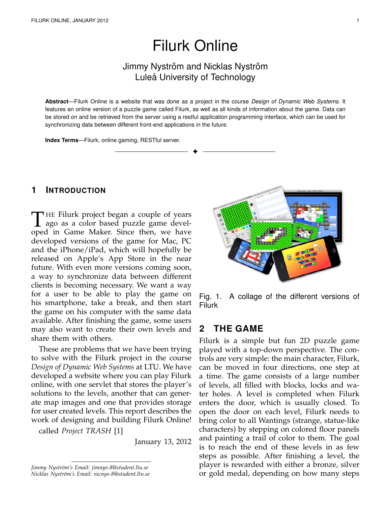# Filurk Online

# Jimmy Nyström and Nicklas Nyström Luleå University of Technology

**Abstract**—Filurk Online is a website that was done as a project in the course *Design of Dynamic Web Systems*. It features an online version of a puzzle game called Filurk, as well as all kinds of information about the game. Data can be stored on and be retrieved from the server using a restful application programming interface, which can be used for synchronizing data between different front-end applications in the future.

✦

**Index Terms**—Filurk, online gaming, RESTful server.

## **1 INTRODUCTION**

THE Filurk project began a couple of years<br>ago as a color based puzzle game devel-<br>and in Game Maker, Since then, we have HE Filurk project began a couple of years oped in Game Maker. Since then, we have developed versions of the game for Mac, PC and the iPhone/iPad, which will hopefully be released on Apple's App Store in the near future. With even more versions coming soon, a way to synchronize data between different clients is becoming necessary. We want a way for a user to be able to play the game on his smartphone, take a break, and then start the game on his computer with the same data available. After finishing the game, some users may also want to create their own levels and share them with others.

These are problems that we have been trying to solve with the Filurk project in the course *Design of Dynamic Web Systems* at LTU. We have developed a website where you can play Filurk online, with one servlet that stores the player's solutions to the levels, another that can generate map images and one that provides storage for user created levels. This report describes the work of designing and building Filurk Online!

called *Project TRASH* [1]

January 13, 2012



Fig. 1. A collage of the different versions of Filurk

# **2 THE GAME**

Filurk is a simple but fun 2D puzzle game played with a top-down perspective. The controls are very simple: the main character, Filurk, can be moved in four directions, one step at a time. The game consists of a large number of levels, all filled with blocks, locks and water holes. A level is completed when Filurk enters the door, which is usually closed. To open the door on each level, Filurk needs to bring color to all Wantings (strange, statue-like characters) by stepping on colored floor panels and painting a trail of color to them. The goal is to reach the end of these levels in as few steps as possible. After finishing a level, the player is rewarded with either a bronze, silver or gold medal, depending on how many steps

Jimmy Nyström's Email: jimnys-8@student.ltu.se *Nicklas Nystr¨om's Email: nicnys-8@student.ltu.se*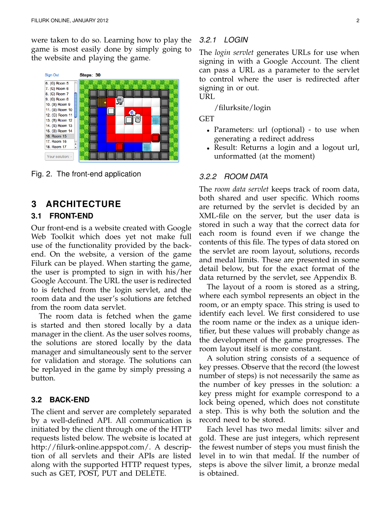were taken to do so. Learning how to play the game is most easily done by simply going to the website and playing the game.



Fig. 2. The front-end application

# **3 ARCHITECTURE**

#### **3.1 FRONT-END**

Our front-end is a website created with Google Web Toolkit which does yet not make full use of the functionality provided by the backend. On the website, a version of the game Filurk can be played. When starting the game, the user is prompted to sign in with his/her Google Account. The URL the user is redirected to is fetched from the login servlet, and the room data and the user's solutions are fetched from the room data servlet.

The room data is fetched when the game is started and then stored locally by a data manager in the client. As the user solves rooms, the solutions are stored locally by the data manager and simultaneously sent to the server for validation and storage. The solutions can be replayed in the game by simply pressing a button.

#### **3.2 BACK-END**

The client and server are completely separated by a well-defined API. All communication is initiated by the client through one of the HTTP requests listed below. The website is located at http://filurk-online.appspot.com/. A description of all servlets and their APIs are listed along with the supported HTTP request types, such as GET, POST, PUT and DELETE.

#### *3.2.1 LOGIN*

The *login servlet* generates URLs for use when signing in with a Google Account. The client can pass a URL as a parameter to the servlet to control where the user is redirected after signing in or out.

URL

/filurksite/login

GET

- Parameters: url (optional) to use when generating a redirect address
- Result: Returns a login and a logout url, unformatted (at the moment)

#### *3.2.2 ROOM DATA*

The *room data servlet* keeps track of room data, both shared and user specific. Which rooms are returned by the servlet is decided by an XML-file on the server, but the user data is stored in such a way that the correct data for each room is found even if we change the contents of this file. The types of data stored on the servlet are room layout, solutions, records and medal limits. These are presented in some detail below, but for the exact format of the data returned by the servlet, see Appendix B.

The layout of a room is stored as a string, where each symbol represents an object in the room, or an empty space. This string is used to identify each level. We first considered to use the room name or the index as a unique identifier, but these values will probably change as the development of the game progresses. The room layout itself is more constant.

A solution string consists of a sequence of key presses. Observe that the record (the lowest number of steps) is not necessarily the same as the number of key presses in the solution: a key press might for example correspond to a lock being opened, which does not constitute a step. This is why both the solution and the record need to be stored.

Each level has two medal limits: silver and gold. These are just integers, which represent the fewest number of steps you must finish the level in to win that medal. If the number of steps is above the silver limit, a bronze medal is obtained.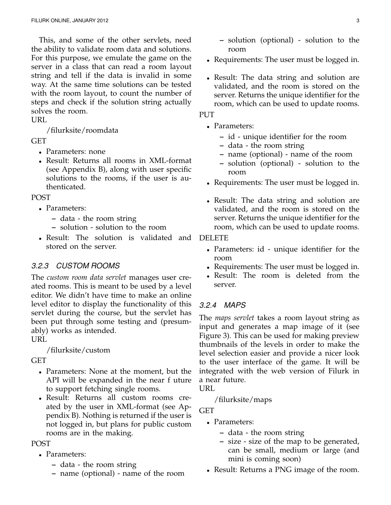This, and some of the other servlets, need the ability to validate room data and solutions. For this purpose, we emulate the game on the server in a class that can read a room layout string and tell if the data is invalid in some way. At the same time solutions can be tested with the room layout, to count the number of steps and check if the solution string actually solves the room.

URL

/filurksite/roomdata

GET

- Parameters: none
- Result: Returns all rooms in XML-format (see Appendix B), along with user specific solutions to the rooms, if the user is authenticated.

POST

- Parameters:
	- **–** data the room string
	- **–** solution solution to the room
- Result: The solution is validated and stored on the server.

# *3.2.3 CUSTOM ROOMS*

The *custom room data servlet* manages user created rooms. This is meant to be used by a level editor. We didn't have time to make an online level editor to display the functionality of this servlet during the course, but the servlet has been put through some testing and (presumably) works as intended. URL

/filurksite/custom

GET

- Parameters: None at the moment, but the API will be expanded in the near f uture to support fetching single rooms.
- Result: Returns all custom rooms created by the user in XML-format (see Appendix B). Nothing is returned if the user is not logged in, but plans for public custom rooms are in the making.

POST

- Parameters:
	- **–** data the room string
	- **–** name (optional) name of the room
- Requirements: The user must be logged in.
- Result: The data string and solution are validated, and the room is stored on the server. Returns the unique identifier for the room, which can be used to update rooms.

# PUT

- Parameters:
	- **–** id unique identifier for the room
	- **–** data the room string
	- **–** name (optional) name of the room
	- **–** solution (optional) solution to the room
- Requirements: The user must be logged in.
- Result: The data string and solution are validated, and the room is stored on the server. Returns the unique identifier for the room, which can be used to update rooms.

### DELETE

- Parameters: id unique identifier for the room
- Requirements: The user must be logged in.
- Result: The room is deleted from the server.

# *3.2.4 MAPS*

The *maps servlet* takes a room layout string as input and generates a map image of it (see Figure 3). This can be used for making preview thumbnails of the levels in order to make the level selection easier and provide a nicer look to the user interface of the game. It will be integrated with the web version of Filurk in a near future.

URL

# /filurksite/maps

**GET** 

- Parameters:
	- **–** data the room string
	- **–** size size of the map to be generated, can be small, medium or large (and mini is coming soon)
- Result: Returns a PNG image of the room.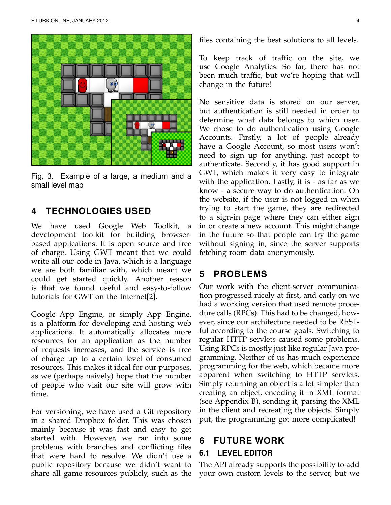

Fig. 3. Example of a large, a medium and a small level map

# **4 TECHNOLOGIES USED**

We have used Google Web Toolkit, a development toolkit for building browserbased applications. It is open source and free of charge. Using GWT meant that we could write all our code in Java, which is a language we are both familiar with, which meant we could get started quickly. Another reason is that we found useful and easy-to-follow tutorials for GWT on the Internet[2].

Google App Engine, or simply App Engine, is a platform for developing and hosting web applications. It automatically allocates more resources for an application as the number of requests increases, and the service is free of charge up to a certain level of consumed resources. This makes it ideal for our purposes, as we (perhaps naively) hope that the number of people who visit our site will grow with time.

For versioning, we have used a Git repository in a shared Dropbox folder. This was chosen mainly because it was fast and easy to get started with. However, we ran into some problems with branches and conflicting files that were hard to resolve. We didn't use a public repository because we didn't want to share all game resources publicly, such as the

files containing the best solutions to all levels.

To keep track of traffic on the site, we use Google Analytics. So far, there has not been much traffic, but we're hoping that will change in the future!

No sensitive data is stored on our server, but authentication is still needed in order to determine what data belongs to which user. We chose to do authentication using Google Accounts. Firstly, a lot of people already have a Google Account, so most users won't need to sign up for anything, just accept to authenticate. Secondly, it has good support in GWT, which makes it very easy to integrate with the application. Lastly, it is - as far as we know - a secure way to do authentication. On the website, if the user is not logged in when trying to start the game, they are redirected to a sign-in page where they can either sign in or create a new account. This might change in the future so that people can try the game without signing in, since the server supports fetching room data anonymously.

# **5 PROBLEMS**

Our work with the client-server communication progressed nicely at first, and early on we had a working version that used remote procedure calls (RPCs). This had to be changed, however, since our architecture needed to be RESTful according to the course goals. Switching to regular HTTP servlets caused some problems. Using RPCs is mostly just like regular Java programming. Neither of us has much experience programming for the web, which became more apparent when switching to HTTP servlets. Simply returning an object is a lot simpler than creating an object, encoding it in XML format (see Appendix B), sending it, parsing the XML in the client and recreating the objects. Simply put, the programming got more complicated!

# **6 FUTURE WORK**

### **6.1 LEVEL EDITOR**

The API already supports the possibility to add your own custom levels to the server, but we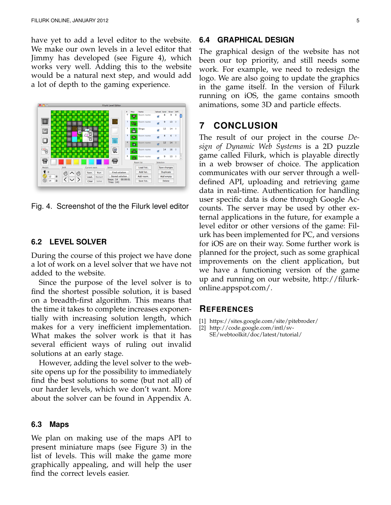have yet to add a level editor to the website. We make our own levels in a level editor that Jimmy has developed (see Figure 4), which works very well. Adding this to the website would be a natural next step, and would add a lot of depth to the gaming experience.



Fig. 4. Screenshot of the the Filurk level editor

#### **6.2 LEVEL SOLVER**

During the course of this project we have done a lot of work on a level solver that we have not added to the website.

Since the purpose of the level solver is to find the shortest possible solution, it is based on a breadth-first algorithm. This means that the time it takes to complete increases exponentially with increasing solution length, which makes for a very inefficient implementation. What makes the solver work is that it has several efficient ways of ruling out invalid solutions at an early stage.

However, adding the level solver to the website opens up for the possibility to immediately find the best solutions to some (but not all) of our harder levels, which we don't want. More about the solver can be found in Appendix A.

#### **6.3 Maps**

We plan on making use of the maps API to present miniature maps (see Figure 3) in the list of levels. This will make the game more graphically appealing, and will help the user find the correct levels easier.

#### **6.4 GRAPHICAL DESIGN**

The graphical design of the website has not been our top priority, and still needs some work. For example, we need to redesign the logo. We are also going to update the graphics in the game itself. In the version of Filurk running on iOS, the game contains smooth animations, some 3D and particle effects.

#### **7 CONCLUSION**

The result of our project in the course *Design of Dynamic Web Systems* is a 2D puzzle game called Filurk, which is playable directly in a web browser of choice. The application communicates with our server through a welldefined API, uploading and retrieving game data in real-time. Authentication for handling user specific data is done through Google Accounts. The server may be used by other external applications in the future, for example a level editor or other versions of the game: Filurk has been implemented for PC, and versions for iOS are on their way. Some further work is planned for the project, such as some graphical improvements on the client application, but we have a functioning version of the game up and running on our website, http://filurkonline.appspot.com/.

#### **REFERENCES**

[1] https://sites.google.com/site/pitebroder/

[2] http://code.google.com/intl/sv-SE/webtoolkit/doc/latest/tutorial/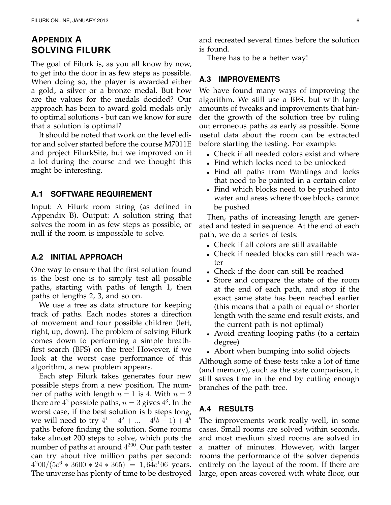# **APPENDIX A SOLVING FILURK**

The goal of Filurk is, as you all know by now, to get into the door in as few steps as possible. When doing so, the player is awarded either a gold, a silver or a bronze medal. But how are the values for the medals decided? Our approach has been to award gold medals only to optimal solutions - but can we know for sure that a solution is optimal?

It should be noted that work on the level editor and solver started before the course M7011E and project FilurkSite, but we improved on it a lot during the course and we thought this might be interesting.

#### **A.1 SOFTWARE REQUIREMENT**

Input: A Filurk room string (as defined in Appendix B). Output: A solution string that solves the room in as few steps as possible, or null if the room is impossible to solve.

#### **A.2 INITIAL APPROACH**

One way to ensure that the first solution found is the best one is to simply test all possible paths, starting with paths of length 1, then paths of lengths 2, 3, and so on.

We use a tree as data structure for keeping track of paths. Each nodes stores a direction of movement and four possible children (left, right, up, down). The problem of solving Filurk comes down to performing a simple breathfirst search (BFS) on the tree! However, if we look at the worst case performance of this algorithm, a new problem appears.

Each step Filurk takes generates four new possible steps from a new position. The number of paths with length  $n = 1$  is 4. With  $n = 2$ there are  $4^2$  possible paths,  $n = 3$  gives  $4^3$ . In the worst case, if the best solution is b steps long, we will need to try  $4^1 + 4^2 + ... + 4(b-1) + 4^b$ paths before finding the solution. Some rooms take almost 200 steps to solve, which puts the number of paths at around  $4^{200}$ . Our path tester can try about five million paths per second:  $4^200/(5e^6 * 3600 * 24 * 365) = 1,64e^106$  years. The universe has plenty of time to be destroyed and recreated several times before the solution is found.

There has to be a better way!

#### **A.3 IMPROVEMENTS**

We have found many ways of improving the algorithm. We still use a BFS, but with large amounts of tweaks and improvements that hinder the growth of the solution tree by ruling out erroneous paths as early as possible. Some useful data about the room can be extracted before starting the testing. For example:

- Check if all needed colors exist and where
- Find which locks need to be unlocked
- Find all paths from Wantings and locks that need to be painted in a certain color
- Find which blocks need to be pushed into water and areas where those blocks cannot be pushed

Then, paths of increasing length are generated and tested in sequence. At the end of each path, we do a series of tests:

- Check if all colors are still available
- Check if needed blocks can still reach water
- Check if the door can still be reached
- Store and compare the state of the room at the end of each path, and stop if the exact same state has been reached earlier (this means that a path of equal or shorter length with the same end result exists, and the current path is not optimal)
- Avoid creating looping paths (to a certain degree)
- Abort when bumping into solid objects

Although some of these tests take a lot of time (and memory), such as the state comparison, it still saves time in the end by cutting enough branches of the path tree.

#### **A.4 RESULTS**

The improvements work really well, in some cases. Small rooms are solved within seconds, and most medium sized rooms are solved in a matter of minutes. However, with larger rooms the performance of the solver depends entirely on the layout of the room. If there are large, open areas covered with white floor, our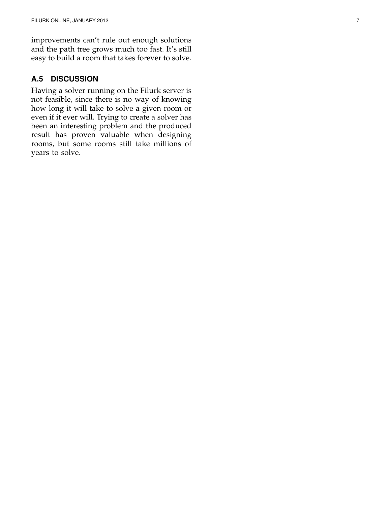improvements can't rule out enough solutions and the path tree grows much too fast. It's still easy to build a room that takes forever to solve.

### **A.5 DISCUSSION**

Having a solver running on the Filurk server is not feasible, since there is no way of knowing how long it will take to solve a given room or even if it ever will. Trying to create a solver has been an interesting problem and the produced result has proven valuable when designing rooms, but some rooms still take millions of years to solve.